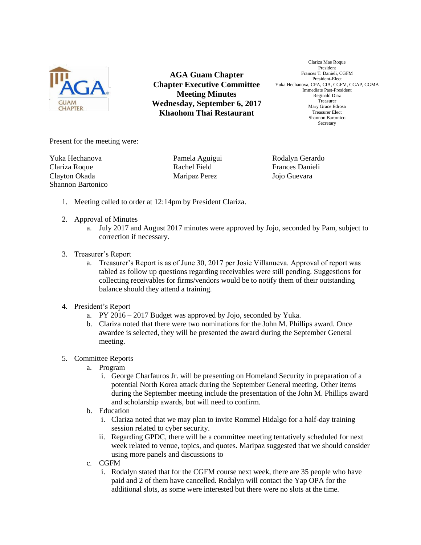

**AGA Guam Chapter Chapter Executive Committee Meeting Minutes Wednesday, September 6, 2017 Khaohom Thai Restaurant**

Clariza Mae Roque President Frances T. Danieli, CGFM President-Elect Yuka Hechanova, CPA, CIA, CGFM, CGAP, CGMA Immediate Past-President Reginald Diaz Treasurer Mary Grace Edrosa Treasurer Elect Shannon Bartonico Secretary

Present for the meeting were:

Yuka Hechanova Pamela Aguigui Rodalyn Gerardo Clariza Roque Rachel Field Frances Danieli Clayton Okada Maripaz Perez Jojo Guevara Shannon Bartonico

- 1. Meeting called to order at 12:14pm by President Clariza.
- 2. Approval of Minutes
	- a. July 2017 and August 2017 minutes were approved by Jojo, seconded by Pam, subject to correction if necessary.
- 3. Treasurer's Report
	- a. Treasurer's Report is as of June 30, 2017 per Josie Villanueva. Approval of report was tabled as follow up questions regarding receivables were still pending. Suggestions for collecting receivables for firms/vendors would be to notify them of their outstanding balance should they attend a training.
- 4. President's Report
	- a. PY 2016 2017 Budget was approved by Jojo, seconded by Yuka.
	- b. Clariza noted that there were two nominations for the John M. Phillips award. Once awardee is selected, they will be presented the award during the September General meeting.
- 5. Committee Reports
	- a. Program
		- i. George Charfauros Jr. will be presenting on Homeland Security in preparation of a potential North Korea attack during the September General meeting. Other items during the September meeting include the presentation of the John M. Phillips award and scholarship awards, but will need to confirm.
	- b. Education
		- i. Clariza noted that we may plan to invite Rommel Hidalgo for a half-day training session related to cyber security.
		- ii. Regarding GPDC, there will be a committee meeting tentatively scheduled for next week related to venue, topics, and quotes. Maripaz suggested that we should consider using more panels and discussions to
	- c. CGFM
		- i. Rodalyn stated that for the CGFM course next week, there are 35 people who have paid and 2 of them have cancelled. Rodalyn will contact the Yap OPA for the additional slots, as some were interested but there were no slots at the time.